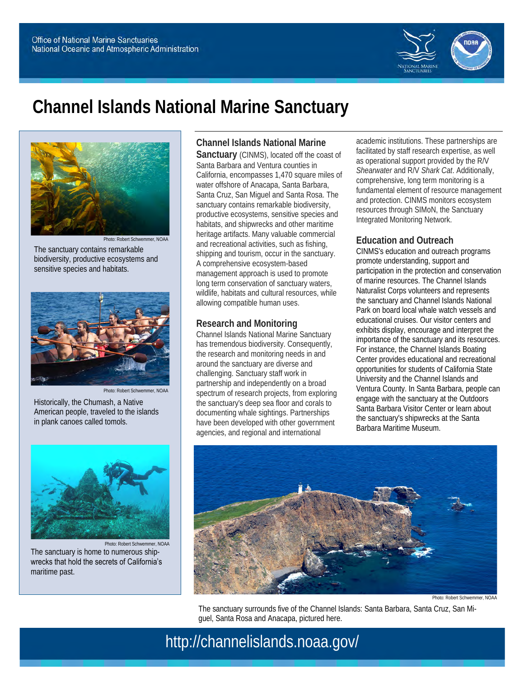

# **Channel Islands National Marine Sanctuary**



Photo: Robert Schwemmer, NOAA The sanctuary contains remarkable biodiversity, productive ecosystems and sensitive species and habitats.



Photo: Robert Schwemmer, NOAA

Historically, the Chumash, a Native American people, traveled to the islands in plank canoes called tomols.



Photo: Robert Schwemmer, NOAA The sanctuary is home to numerous shipwrecks that hold the secrets of California's maritime past.

**Channel Islands National Marine** 

**Sanctuary** (CINMS), located off the coast of Santa Barbara and Ventura counties in California, encompasses 1,470 square miles of water offshore of Anacapa, Santa Barbara, Santa Cruz, San Miguel and Santa Rosa. The sanctuary contains remarkable biodiversity, productive ecosystems, sensitive species and habitats, and shipwrecks and other maritime heritage artifacts. Many valuable commercial and recreational activities, such as fishing, shipping and tourism, occur in the sanctuary. A comprehensive ecosystem-based management approach is used to promote long term conservation of sanctuary waters, wildlife, habitats and cultural resources, while allowing compatible human uses.

#### **Research and Monitoring**

Channel Islands National Marine Sanctuary has tremendous biodiversity. Consequently, the research and monitoring needs in and around the sanctuary are diverse and challenging. Sanctuary staff work in partnership and independently on a broad spectrum of research projects, from exploring the sanctuary's deep sea floor and corals to documenting whale sightings. Partnerships have been developed with other government agencies, and regional and international

academic institutions. These partnerships are facilitated by staff research expertise, as well as operational support provided by the R/V *Shearwater* and R/V *Shark Cat*. Additionally, comprehensive, long term monitoring is a fundamental element of resource management and protection. CINMS monitors ecosystem resources through SIMoN, the Sanctuary Integrated Monitoring Network.

## **Education and Outreach**

CINMS's education and outreach programs promote understanding, support and participation in the protection and conservation of marine resources. The Channel Islands Naturalist Corps volunteers and represents the sanctuary and Channel Islands National Park on board local whale watch vessels and educational cruises. Our visitor centers and exhibits display, encourage and interpret the importance of the sanctuary and its resources. For instance, the Channel Islands Boating Center provides educational and recreational opportunities for students of California State University and the Channel Islands and Ventura County. In Santa Barbara, people can engage with the sanctuary at the Outdoors Santa Barbara Visitor Center or learn about the sanctuary's shipwrecks at the Santa Barbara Maritime Museum.



Photo: Robert Schwemmer, NOAA

The sanctuary surrounds five of the Channel Islands: Santa Barbara, Santa Cruz, San Miguel, Santa Rosa and Anacapa, pictured here.

# http://channelislands.noaa.gov/